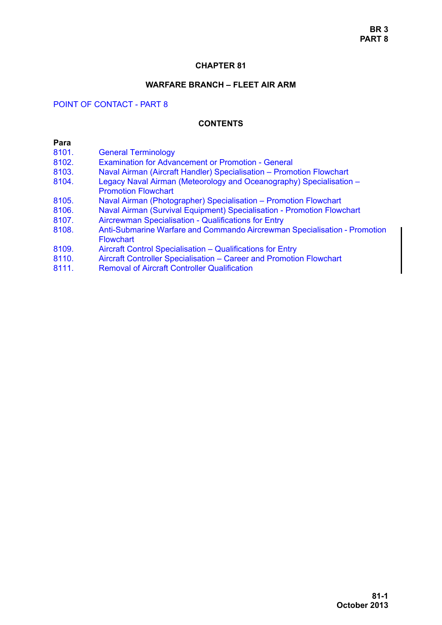## **CHAPTER 81**

### **WARFARE BRANCH – FLEET AIR ARM**

## POINT OF CONTACT - PART 8

## **CONTENTS**

#### **Para**

- [8101. General Terminology](#page-1-0)
- [8102. Examination for Advancement or Promotion General](#page-1-1)
- [8103. Naval Airman \(Aircraft Handler\) Specialisation Promotion Flowchart](#page-2-0)
- [8104. Legacy Naval Airman \(Meteorology and Oceanography\) Specialisation](#page-5-0)  Promotion Flowchart
- [8105. Naval Airman \(Photographer\) Specialisation Promotion Flowchart](#page-9-0)
- [8106. Naval Airman \(Survival Equipment\) Specialisation Promotion Flowchart](#page-13-0)
- [8107. Aircrewman Specialisation Qualifications for Entry](#page-17-0)
- [8108. Anti-Submarine Warfare and Commando Aircrewman Specialisation Promotion](#page-20-0)  **Flowchart**
- [8109. Aircraft Control Specialisation Qualifications for Entry](#page-22-0)
- [8110. Aircraft Controller Specialisation Career and Promotion Flowchart](#page-24-0)
- [8111. Removal of Aircraft Controller Qualification](#page-27-0)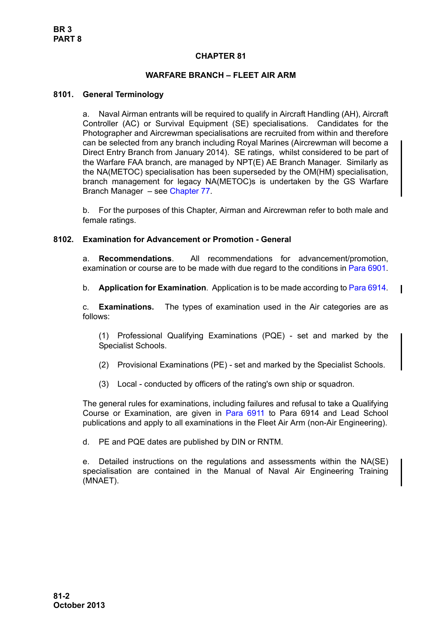## **CHAPTER 81**

## **WARFARE BRANCH – FLEET AIR ARM**

### <span id="page-1-0"></span>**8101. General Terminology**

a. Naval Airman entrants will be required to qualify in Aircraft Handling (AH), Aircraft Controller (AC) or Survival Equipment (SE) specialisations. Candidates for the Photographer and Aircrewman specialisations are recruited from within and therefore can be selected from any branch including Royal Marines (Aircrewman will become a Direct Entry Branch from January 2014). SE ratings, whilst considered to be part of the Warfare FAA branch, are managed by NPT(E) AE Branch Manager. Similarly as the NA(METOC) specialisation has been superseded by the OM(HM) specialisation, branch management for legacy NA(METOC)s is undertaken by the GS Warfare Branch Manager – see Chapter 77.

b. For the purposes of this Chapter, Airman and Aircrewman refer to both male and female ratings.

### <span id="page-1-1"></span>**8102. Examination for Advancement or Promotion - General**

a. **Recommendations**. All recommendations for advancement/promotion, examination or course are to be made with due regard to the conditions in Para 6901.

b. **Application for Examination**. Application is to be made according to Para 6914.

c. **Examinations.** The types of examination used in the Air categories are as follows:

(1) Professional Qualifying Examinations (PQE) - set and marked by the Specialist Schools.

- (2) Provisional Examinations (PE) set and marked by the Specialist Schools.
- (3) Local conducted by officers of the rating's own ship or squadron.

The general rules for examinations, including failures and refusal to take a Qualifying Course or Examination, are given in Para 6911 to Para 6914 and Lead School publications and apply to all examinations in the Fleet Air Arm (non-Air Engineering).

d. PE and PQE dates are published by DIN or RNTM.

e. Detailed instructions on the regulations and assessments within the NA(SE) specialisation are contained in the Manual of Naval Air Engineering Training (MNAET).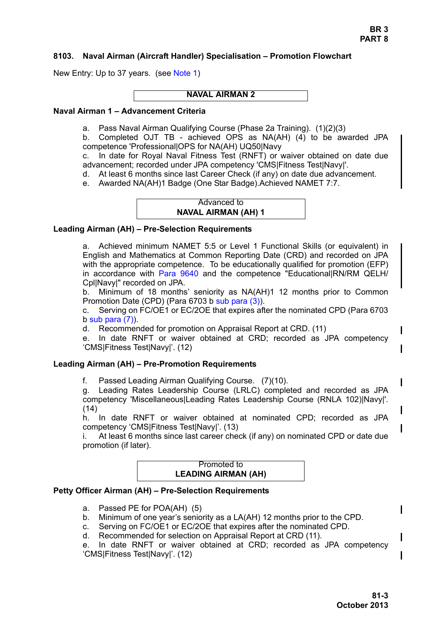## <span id="page-2-0"></span>**8103. Naval Airman (Aircraft Handler) Specialisation – Promotion Flowchart**

New Entry: Up to 37 years. (see [Note 1](#page-4-0))

#### **NAVAL AIRMAN 2**

#### **Naval Airman 1 – Advancement Criteria**

- a. Pass Naval Airman Qualifying Course (Phase 2a Training). (1)(2)(3)
- b. Completed OJT TB achieved OPS as NA(AH) (4) to be awarded JPA competence 'Professional|OPS for NA(AH) UQ50|Navy

c. In date for Royal Naval Fitness Test (RNFT) or waiver obtained on date due advancement; recorded under JPA competency 'CMS|Fitness Test|Navy|'.

- d. At least 6 months since last Career Check (if any) on date due advancement.
- e. Awarded NA(AH)1 Badge (One Star Badge).Achieved NAMET 7:7.



### **Leading Airman (AH) – Pre-Selection Requirements**

a. Achieved minimum NAMET 5:5 or Level 1 Functional Skills (or equivalent) in English and Mathematics at Common Reporting Date (CRD) and recorded on JPA with the appropriate competence. To be educationally qualified for promotion (EFP) in accordance with [Para 9640](#page-34-0) and the competence "Educational|RN/RM QELH/ Cpl|Navy|" recorded on JPA.

b. Minimum of 18 months' seniority as NA(AH)1 12 months prior to Common Promotion Date (CPD) (Para 6703 b sub para (3)).

c. Serving on FC/OE1 or EC/2OE that expires after the nominated CPD (Para 6703  $b$  sub para  $(7)$ ).

d. Recommended for promotion on Appraisal Report at CRD. (11)

e. In date RNFT or waiver obtained at CRD; recorded as JPA competency 'CMS|Fitness Test|Navy|'. (12)

### **Leading Airman (AH) – Pre-Promotion Requirements**

f. Passed Leading Airman Qualifying Course. (7)(10).

g. Leading Rates Leadership Course (LRLC) completed and recorded as JPA competency 'Miscellaneous|Leading Rates Leadership Course (RNLA 102)|Navy|'. (14)

h. In date RNFT or waiver obtained at nominated CPD; recorded as JPA competency 'CMS|Fitness Test|Navy|'. (13)

i. At least 6 months since last career check (if any) on nominated CPD or date due promotion (if later).

#### Promoted to **LEADING AIRMAN (AH)**

### **Petty Officer Airman (AH) – Pre-Selection Requirements**

- a. Passed PE for POA(AH) (5)
- b. Minimum of one year's seniority as a LA(AH) 12 months prior to the CPD.
- c. Serving on FC/OE1 or EC/2OE that expires after the nominated CPD.
- d. Recommended for selection on Appraisal Report at CRD (11).

e. In date RNFT or waiver obtained at CRD; recorded as JPA competency 'CMS|Fitness Test|Navy|'. (12)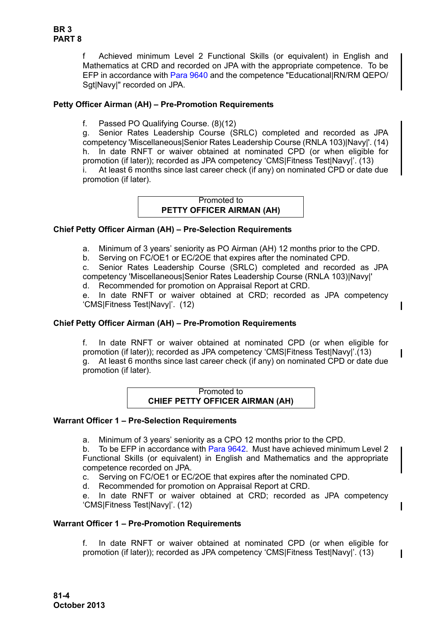f Achieved minimum Level 2 Functional Skills (or equivalent) in English and Mathematics at CRD and recorded on JPA with the appropriate competence. To be EFP in accordance with [Para 9640](#page-34-0) and the competence "Educational|RN/RM QEPO/ Sgt|Navy|" recorded on JPA.

# **Petty Officer Airman (AH) – Pre-Promotion Requirements**

f. Passed PO Qualifying Course. (8)(12)

g. Senior Rates Leadership Course (SRLC) completed and recorded as JPA competency 'Miscellaneous|Senior Rates Leadership Course (RNLA 103)|Navy|'. (14) h. In date RNFT or waiver obtained at nominated CPD (or when eligible for promotion (if later)); recorded as JPA competency 'CMS|Fitness Test|Navy|'. (13) i. At least 6 months since last career check (if any) on nominated CPD or date due promotion (if later).

> Promoted to **PETTY OFFICER AIRMAN (AH)**

# **Chief Petty Officer Airman (AH) – Pre-Selection Requirements**

- a. Minimum of 3 years' seniority as PO Airman (AH) 12 months prior to the CPD.
- b. Serving on FC/OE1 or EC/2OE that expires after the nominated CPD.

c. Senior Rates Leadership Course (SRLC) completed and recorded as JPA competency 'Miscellaneous|Senior Rates Leadership Course (RNLA 103)|Navy|'

d. Recommended for promotion on Appraisal Report at CRD.

e. In date RNFT or waiver obtained at CRD; recorded as JPA competency 'CMS|Fitness Test|Navy|'. (12)

# **Chief Petty Officer Airman (AH) – Pre-Promotion Requirements**

f. In date RNFT or waiver obtained at nominated CPD (or when eligible for promotion (if later)); recorded as JPA competency 'CMS|Fitness Test|Navy|'.(13) g. At least 6 months since last career check (if any) on nominated CPD or date due promotion (if later).

> Promoted to **CHIEF PETTY OFFICER AIRMAN (AH)**

# **Warrant Officer 1 – Pre-Selection Requirements**

a. Minimum of 3 years' seniority as a CPO 12 months prior to the CPD.

b. To be EFP in accordance with [Para 9642.](#page-35-0) Must have achieved minimum Level 2 Functional Skills (or equivalent) in English and Mathematics and the appropriate competence recorded on JPA.

c. Serving on FC/OE1 or EC/2OE that expires after the nominated CPD.

d. Recommended for promotion on Appraisal Report at CRD.

e. In date RNFT or waiver obtained at CRD; recorded as JPA competency 'CMS|Fitness Test|Navy|'. (12)

# **Warrant Officer 1 – Pre-Promotion Requirements**

f. In date RNFT or waiver obtained at nominated CPD (or when eligible for promotion (if later)); recorded as JPA competency 'CMS|Fitness Test|Navy|'. (13)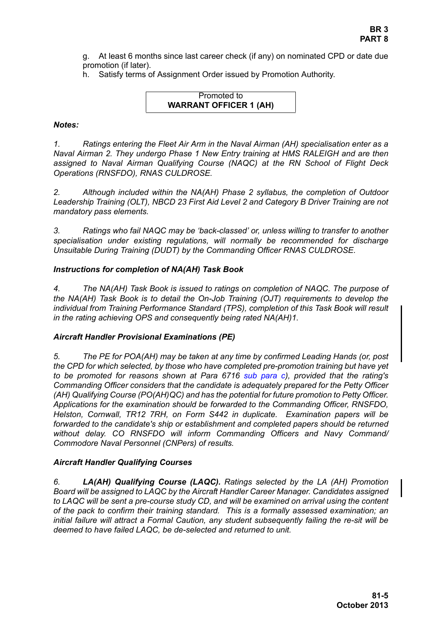g. At least 6 months since last career check (if any) on nominated CPD or date due promotion (if later).

h. Satisfy terms of Assignment Order issued by Promotion Authority.



## *Notes:*

<span id="page-4-0"></span>*1. Ratings entering the Fleet Air Arm in the Naval Airman (AH) specialisation enter as a Naval Airman 2. They undergo Phase 1 New Entry training at HMS RALEIGH and are then assigned to Naval Airman Qualifying Course (NAQC) at the RN School of Flight Deck Operations (RNSFDO), RNAS CULDROSE.*

*2. Although included within the NA(AH) Phase 2 syllabus, the completion of Outdoor Leadership Training (OLT), NBCD 23 First Aid Level 2 and Category B Driver Training are not mandatory pass elements.*

*3. Ratings who fail NAQC may be 'back-classed' or, unless willing to transfer to another specialisation under existing regulations, will normally be recommended for discharge Unsuitable During Training (DUDT) by the Commanding Officer RNAS CULDROSE.*

# *Instructions for completion of NA(AH) Task Book*

*4. The NA(AH) Task Book is issued to ratings on completion of NAQC. The purpose of the NA(AH) Task Book is to detail the On-Job Training (OJT) requirements to develop the individual from Training Performance Standard (TPS), completion of this Task Book will result in the rating achieving OPS and consequently being rated NA(AH)1.*

### *Aircraft Handler Provisional Examinations (PE)*

*5. The PE for POA(AH) may be taken at any time by confirmed Leading Hands (or, post the CPD for which selected, by those who have completed pre-promotion training but have yet to be promoted for reasons shown at Para 6716 sub para c), provided that the rating's Commanding Officer considers that the candidate is adequately prepared for the Petty Officer (AH) Qualifying Course (PO(AH)QC) and has the potential for future promotion to Petty Officer. Applications for the examination should be forwarded to the Commanding Officer, RNSFDO, Helston, Cornwall, TR12 7RH, on Form S442 in duplicate. Examination papers will be forwarded to the candidate's ship or establishment and completed papers should be returned without delay. CO RNSFDO will inform Commanding Officers and Navy Command/ Commodore Naval Personnel (CNPers) of results.*

# *Aircraft Handler Qualifying Courses*

*6. LA(AH) Qualifying Course (LAQC). Ratings selected by the LA (AH) Promotion Board will be assigned to LAQC by the Aircraft Handler Career Manager. Candidates assigned to LAQC will be sent a pre-course study CD, and will be examined on arrival using the content of the pack to confirm their training standard. This is a formally assessed examination; an initial failure will attract a Formal Caution, any student subsequently failing the re-sit will be deemed to have failed LAQC, be de-selected and returned to unit.*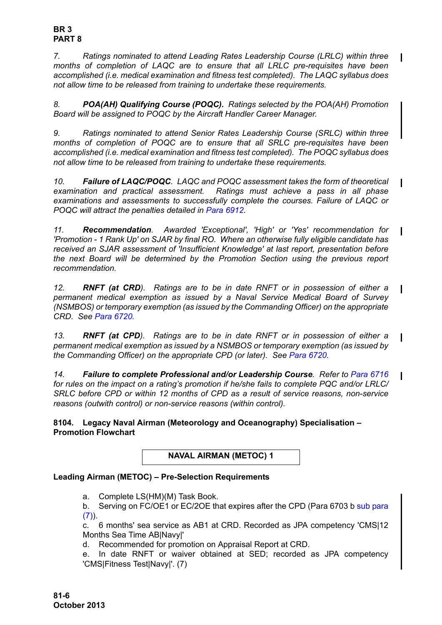### **BR 3 PART 8**

*7. Ratings nominated to attend Leading Rates Leadership Course (LRLC) within three months of completion of LAQC are to ensure that all LRLC pre-requisites have been accomplished (i.e. medical examination and fitness test completed). The LAQC syllabus does not allow time to be released from training to undertake these requirements.*

*8. POA(AH) Qualifying Course (POQC). Ratings selected by the POA(AH) Promotion Board will be assigned to POQC by the Aircraft Handler Career Manager.* 

*9. Ratings nominated to attend Senior Rates Leadership Course (SRLC) within three months of completion of POQC are to ensure that all SRLC pre-requisites have been accomplished (i.e. medical examination and fitness test completed). The POQC syllabus does not allow time to be released from training to undertake these requirements.*

*10. Failure of LAQC/POQC. LAQC and POQC assessment takes the form of theoretical examination and practical assessment. Ratings must achieve a pass in all phase examinations and assessments to successfully complete the courses. Failure of LAQC or POQC will attract the penalties detailed in Para 6912.* 

*11. Recommendation. Awarded 'Exceptional', 'High' or 'Yes' recommendation for 'Promotion - 1 Rank Up' on SJAR by final RO. Where an otherwise fully eligible candidate has received an SJAR assessment of 'Insufficient Knowledge' at last report, presentation before the next Board will be determined by the Promotion Section using the previous report recommendation.* 

*12. RNFT (at CRD). Ratings are to be in date RNFT or in possession of either a permanent medical exemption as issued by a Naval Service Medical Board of Survey (NSMBOS) or temporary exemption (as issued by the Commanding Officer) on the appropriate CRD. See Para 6720.*

*13. RNFT (at CPD). Ratings are to be in date RNFT or in possession of either a permanent medical exemption as issued by a NSMBOS or temporary exemption (as issued by the Commanding Officer) on the appropriate CPD (or later). See Para 6720.*

*14. Failure to complete Professional and/or Leadership Course. Refer to Para 6716 for rules on the impact on a rating's promotion if he/she fails to complete PQC and/or LRLC/ SRLC before CPD or within 12 months of CPD as a result of service reasons, non-service reasons (outwith control) or non-service reasons (within control).*

# <span id="page-5-0"></span>**8104. Legacy Naval Airman (Meteorology and Oceanography) Specialisation – Promotion Flowchart**

**NAVAL AIRMAN (METOC) 1** 

# **Leading Airman (METOC) – Pre-Selection Requirements**

- a. Complete LS(HM)(M) Task Book.
- b. Serving on FC/OE1 or EC/2OE that expires after the CPD (Para 6703 b sub para  $(7)$ ).

c. 6 months' sea service as AB1 at CRD. Recorded as JPA competency 'CMS|12 Months Sea Time AB|Navy|'

d. Recommended for promotion on Appraisal Report at CRD.

e. In date RNFT or waiver obtained at SED; recorded as JPA competency 'CMS|Fitness Test|Navy|'. (7)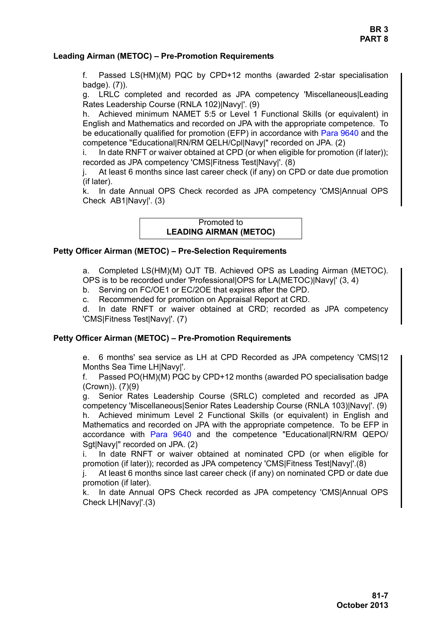### **Leading Airman (METOC) – Pre-Promotion Requirements**

f. Passed LS(HM)(M) PQC by CPD+12 months (awarded 2-star specialisation badge). (7)).

g. LRLC completed and recorded as JPA competency 'Miscellaneous|Leading Rates Leadership Course (RNLA 102)|Navy|'. (9)

h. Achieved minimum NAMET 5:5 or Level 1 Functional Skills (or equivalent) in English and Mathematics and recorded on JPA with the appropriate competence. To be educationally qualified for promotion (EFP) in accordance with [Para 9640](#page-34-0) and the competence "Educational|RN/RM QELH/Cpl|Navy|" recorded on JPA. (2)

i. In date RNFT or waiver obtained at CPD (or when eligible for promotion (if later)); recorded as JPA competency 'CMS|Fitness Test|Navy|'. (8)

j. At least 6 months since last career check (if any) on CPD or date due promotion (if later).

k. In date Annual OPS Check recorded as JPA competency 'CMS|Annual OPS Check AB1|Navy|'. (3)

### Promoted to **LEADING AIRMAN (METOC)**

### **Petty Officer Airman (METOC) – Pre-Selection Requirements**

a. Completed LS(HM)(M) OJT TB. Achieved OPS as Leading Airman (METOC). OPS is to be recorded under 'Professional|OPS for LA(METOC)|Navy|' (3, 4)

b. Serving on FC/OE1 or EC/2OE that expires after the CPD.

c. Recommended for promotion on Appraisal Report at CRD.

d. In date RNFT or waiver obtained at CRD; recorded as JPA competency 'CMS|Fitness Test|Navy|'. (7)

### **Petty Officer Airman (METOC) – Pre-Promotion Requirements**

e. 6 months' sea service as LH at CPD Recorded as JPA competency 'CMS|12 Months Sea Time LH|Navy|'.

f. Passed PO(HM)(M) PQC by CPD+12 months (awarded PO specialisation badge (Crown)). (7)(9)

g. Senior Rates Leadership Course (SRLC) completed and recorded as JPA competency 'Miscellaneous|Senior Rates Leadership Course (RNLA 103)|Navy|'. (9) h. Achieved minimum Level 2 Functional Skills (or equivalent) in English and Mathematics and recorded on JPA with the appropriate competence. To be EFP in accordance with [Para 9640](#page-34-0) and the competence "Educational|RN/RM QEPO/ SgtINavyl" recorded on JPA. (2)

i. In date RNFT or waiver obtained at nominated CPD (or when eligible for promotion (if later)); recorded as JPA competency 'CMS|Fitness Test|Navy|'.(8)

j. At least 6 months since last career check (if any) on nominated CPD or date due promotion (if later).

k. In date Annual OPS Check recorded as JPA competency 'CMS|Annual OPS Check LH|Navy|'.(3)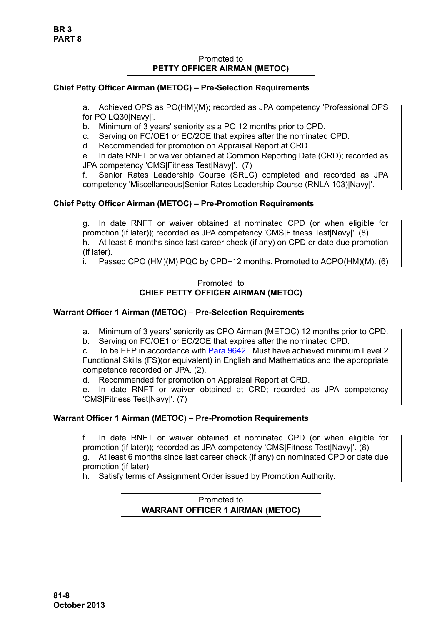## Promoted to **PETTY OFFICER AIRMAN (METOC)**

## **Chief Petty Officer Airman (METOC) – Pre-Selection Requirements**

a. Achieved OPS as PO(HM)(M); recorded as JPA competency 'Professional|OPS for PO LQ30|Navy|'.

- b. Minimum of 3 years' seniority as a PO 12 months prior to CPD.
- c. Serving on FC/OE1 or EC/2OE that expires after the nominated CPD.
- d. Recommended for promotion on Appraisal Report at CRD.

e. In date RNFT or waiver obtained at Common Reporting Date (CRD); recorded as JPA competency 'CMS|Fitness Test|Navy|'. (7)

f. Senior Rates Leadership Course (SRLC) completed and recorded as JPA competency 'Miscellaneous|Senior Rates Leadership Course (RNLA 103)|Navy|'.

# **Chief Petty Officer Airman (METOC) – Pre-Promotion Requirements**

g. In date RNFT or waiver obtained at nominated CPD (or when eligible for promotion (if later)); recorded as JPA competency 'CMS|Fitness Test|Navy|'. (8)

h. At least 6 months since last career check (if any) on CPD or date due promotion (if later).

i. Passed CPO (HM)(M) PQC by CPD+12 months. Promoted to ACPO(HM)(M). (6)

#### Promoted to **CHIEF PETTY OFFICER AIRMAN (METOC)**

# **Warrant Officer 1 Airman (METOC) – Pre-Selection Requirements**

a. Minimum of 3 years' seniority as CPO Airman (METOC) 12 months prior to CPD.

b. Serving on FC/OE1 or EC/2OE that expires after the nominated CPD.

c. To be EFP in accordance with [Para 9642.](#page-35-0) Must have achieved minimum Level 2 Functional Skills (FS)(or equivalent) in English and Mathematics and the appropriate competence recorded on JPA. (2).

d. Recommended for promotion on Appraisal Report at CRD.

e. In date RNFT or waiver obtained at CRD; recorded as JPA competency 'CMS|Fitness Test|Navy|'. (7)

# **Warrant Officer 1 Airman (METOC) – Pre-Promotion Requirements**

f. In date RNFT or waiver obtained at nominated CPD (or when eligible for promotion (if later)); recorded as JPA competency 'CMS|Fitness Test|Navy|'. (8) g. At least 6 months since last career check (if any) on nominated CPD or date due promotion (if later).

h. Satisfy terms of Assignment Order issued by Promotion Authority.

# Promoted to **WARRANT OFFICER 1 AIRMAN (METOC)**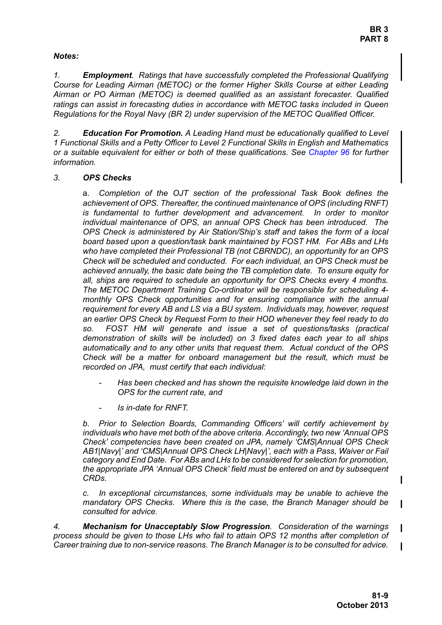# *Notes:*

*1. Employment. Ratings that have successfully completed the Professional Qualifying Course for Leading Airman (METOC) or the former Higher Skills Course at either Leading Airman or PO Airman (METOC) is deemed qualified as an assistant forecaster. Qualified ratings can assist in forecasting duties in accordance with METOC tasks included in Queen Regulations for the Royal Navy (BR 2) under supervision of the METOC Qualified Officer.*

*2. Education For Promotion. A Leading Hand must be educationally qualified to Level 1 Functional Skills and a Petty Officer to Level 2 Functional Skills in English and Mathematics or a suitable equivalent for either or both of these qualifications. See Chapter 96 for further information.* 

# *3. OPS Checks*

a. *Completion of the OJT section of the professional Task Book defines the achievement of OPS. Thereafter, the continued maintenance of OPS (including RNFT) is fundamental to further development and advancement. In order to monitor individual maintenance of OPS, an annual OPS Check has been introduced. The OPS Check is administered by Air Station/Ship's staff and takes the form of a local board based upon a question/task bank maintained by FOST HM. For ABs and LHs who have completed their Professional TB (not CBRNDC), an opportunity for an OPS Check will be scheduled and conducted. For each individual, an OPS Check must be achieved annually, the basic date being the TB completion date. To ensure equity for all, ships are required to schedule an opportunity for OPS Checks every 4 months. The METOC Department Training Co-ordinator will be responsible for scheduling 4 monthly OPS Check opportunities and for ensuring compliance with the annual requirement for every AB and LS via a BU system. Individuals may, however, request an earlier OPS Check by Request Form to their HOD whenever they feel ready to do so. FOST HM will generate and issue a set of questions/tasks (practical demonstration of skills will be included) on 3 fixed dates each year to all ships automatically and to any other units that request them. Actual conduct of the OPS Check will be a matter for onboard management but the result, which must be recorded on JPA, must certify that each individual:*

- *Has been checked and has shown the requisite knowledge laid down in the OPS for the current rate, and*
- *Is in-date for RNFT.*

*b. Prior to Selection Boards, Commanding Officers' will certify achievement by individuals who have met both of the above criteria. Accordingly, two new 'Annual OPS Check' competencies have been created on JPA, namely 'CMS|Annual OPS Check AB1|Navy|' and 'CMS|Annual OPS Check LH|Navy|', each with a Pass, Waiver or Fail category and End Date. For ABs and LHs to be considered for selection for promotion, the appropriate JPA 'Annual OPS Check' field must be entered on and by subsequent CRDs.*

*c. In exceptional circumstances, some individuals may be unable to achieve the mandatory OPS Checks. Where this is the case, the Branch Manager should be consulted for advice.*

*4. Mechanism for Unacceptably Slow Progression. Consideration of the warnings process should be given to those LHs who fail to attain OPS 12 months after completion of Career training due to non-service reasons. The Branch Manager is to be consulted for advice.*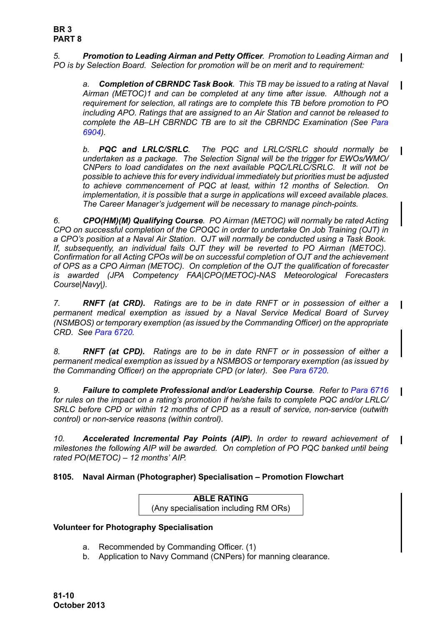*5. Promotion to Leading Airman and Petty Officer. Promotion to Leading Airman and PO is by Selection Board. Selection for promotion will be on merit and to requirement:*

*a. Completion of CBRNDC Task Book. This TB may be issued to a rating at Naval Airman (METOC)1 and can be completed at any time after issue. Although not a requirement for selection, all ratings are to complete this TB before promotion to PO including APO. Ratings that are assigned to an Air Station and cannot be released to complete the AB–LH CBRNDC TB are to sit the CBRNDC Examination (See Para 6904).*

*b. PQC and LRLC/SRLC. The PQC and LRLC/SRLC should normally be undertaken as a package. The Selection Signal will be the trigger for EWOs/WMO/ CNPers to load candidates on the next available PQC/LRLC/SRLC. It will not be possible to achieve this for every individual immediately but priorities must be adjusted to achieve commencement of PQC at least, within 12 months of Selection. On implementation, it is possible that a surge in applications will exceed available places. The Career Manager's judgement will be necessary to manage pinch-points.*

*6. CPO(HM)(M) Qualifying Course. PO Airman (METOC) will normally be rated Acting CPO on successful completion of the CPOQC in order to undertake On Job Training (OJT) in a CPO's position at a Naval Air Station. OJT will normally be conducted using a Task Book. If, subsequently, an individual fails OJT they will be reverted to PO Airman (METOC). Confirmation for all Acting CPOs will be on successful completion of OJT and the achievement of OPS as a CPO Airman (METOC). On completion of the OJT the qualification of forecaster is awarded (JPA Competency FAA|CPO(METOC)-NAS Meteorological Forecasters Course|Navy|).*

*7. RNFT (at CRD). Ratings are to be in date RNFT or in possession of either a permanent medical exemption as issued by a Naval Service Medical Board of Survey (NSMBOS) or temporary exemption (as issued by the Commanding Officer) on the appropriate CRD. See Para 6720.*

*8. RNFT (at CPD). Ratings are to be in date RNFT or in possession of either a permanent medical exemption as issued by a NSMBOS or temporary exemption (as issued by the Commanding Officer) on the appropriate CPD (or later). See Para 6720.*

*9. Failure to complete Professional and/or Leadership Course. Refer to Para 6716 for rules on the impact on a rating's promotion if he/she fails to complete PQC and/or LRLC/ SRLC before CPD or within 12 months of CPD as a result of service, non-service (outwith control) or non-service reasons (within control).*

*10. Accelerated Incremental Pay Points (AIP). In order to reward achievement of milestones the following AIP will be awarded. On completion of PO PQC banked until being rated PO(METOC) – 12 months' AIP.*

# <span id="page-9-0"></span>**8105. Naval Airman (Photographer) Specialisation – Promotion Flowchart**

**ABLE RATING** (Any specialisation including RM ORs)

# **Volunteer for Photography Specialisation**

- a. Recommended by Commanding Officer. (1)
- b. Application to Navy Command (CNPers) for manning clearance.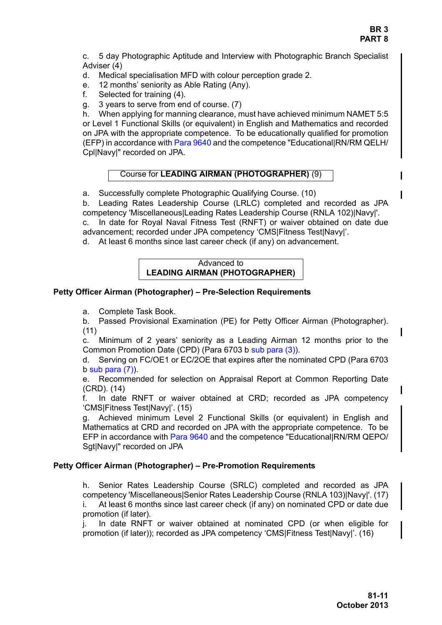c. 5 day Photographic Aptitude and Interview with Photographic Branch Specialist Adviser (4)

- d. Medical specialisation MFD with colour perception grade 2.
- e. 12 months' seniority as Able Rating (Any).
- f. Selected for training (4).
- g. 3 years to serve from end of course. (7)

h. When applying for manning clearance, must have achieved minimum NAMET 5:5 or Level 1 Functional Skills (or equivalent) in English and Mathematics and recorded on JPA with the appropriate competence. To be educationally qualified for promotion (EFP) in accordance with [Para 9640](#page-34-0) and the competence "Educational|RN/RM QELH/ Cpl|Navy|" recorded on JPA.

# Course for **LEADING AIRMAN (PHOTOGRAPHER)** (9)

a. Successfully complete Photographic Qualifying Course. (10)

b. Leading Rates Leadership Course (LRLC) completed and recorded as JPA competency 'Miscellaneous|Leading Rates Leadership Course (RNLA 102)|Navy|'. c. In date for Royal Naval Fitness Test (RNFT) or waiver obtained on date due advancement; recorded under JPA competency 'CMS|Fitness Test|Navy|'. d. At least 6 months since last career check (if any) on advancement.

> Advanced to **LEADING AIRMAN (PHOTOGRAPHER)**

## **Petty Officer Airman (Photographer) – Pre-Selection Requirements**

a. Complete Task Book.

b. Passed Provisional Examination (PE) for Petty Officer Airman (Photographer). (11)

c. Minimum of 2 years' seniority as a Leading Airman 12 months prior to the Common Promotion Date (CPD) (Para 6703 b sub para (3)).

d. Serving on FC/OE1 or EC/2OE that expires after the nominated CPD (Para 6703  $b$  sub para  $(7)$ ).

e. Recommended for selection on Appraisal Report at Common Reporting Date (CRD). (14)

f. In date RNFT or waiver obtained at CRD; recorded as JPA competency 'CMS|Fitness Test|Navy|'. (15)

g. Achieved minimum Level 2 Functional Skills (or equivalent) in English and Mathematics at CRD and recorded on JPA with the appropriate competence. To be EFP in accordance with [Para 9640](#page-34-0) and the competence "Educational|RN/RM QEPO/ Sgt|Navy|" recorded on JPA

# **Petty Officer Airman (Photographer) – Pre-Promotion Requirements**

h. Senior Rates Leadership Course (SRLC) completed and recorded as JPA competency 'Miscellaneous|Senior Rates Leadership Course (RNLA 103)|Navy|'. (17) i. At least 6 months since last career check (if any) on nominated CPD or date due promotion (if later).

j. In date RNFT or waiver obtained at nominated CPD (or when eligible for promotion (if later)); recorded as JPA competency 'CMS|Fitness Test|Navy|'. (16)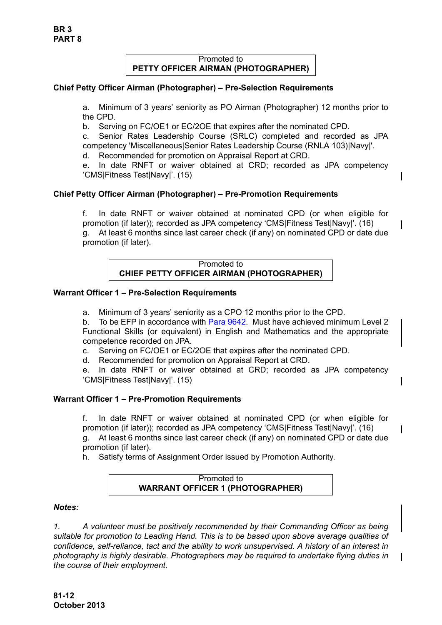# Promoted to **PETTY OFFICER AIRMAN (PHOTOGRAPHER)**

## **Chief Petty Officer Airman (Photographer) – Pre-Selection Requirements**

a. Minimum of 3 years' seniority as PO Airman (Photographer) 12 months prior to the CPD.

b. Serving on FC/OE1 or EC/2OE that expires after the nominated CPD.

c. Senior Rates Leadership Course (SRLC) completed and recorded as JPA competency 'Miscellaneous|Senior Rates Leadership Course (RNLA 103)|Navy|'.

d. Recommended for promotion on Appraisal Report at CRD.

e. In date RNFT or waiver obtained at CRD; recorded as JPA competency 'CMS|Fitness Test|Navy|'. (15)

## **Chief Petty Officer Airman (Photographer) – Pre-Promotion Requirements**

f. In date RNFT or waiver obtained at nominated CPD (or when eligible for promotion (if later)); recorded as JPA competency 'CMS|Fitness Test|Navy|'. (16) g. At least 6 months since last career check (if any) on nominated CPD or date due promotion (if later).

### Promoted to **CHIEF PETTY OFFICER AIRMAN (PHOTOGRAPHER)**

### **Warrant Officer 1 – Pre-Selection Requirements**

a. Minimum of 3 years' seniority as a CPO 12 months prior to the CPD.

b. To be EFP in accordance with [Para 9642.](#page-35-0) Must have achieved minimum Level 2 Functional Skills (or equivalent) in English and Mathematics and the appropriate competence recorded on JPA.

c. Serving on FC/OE1 or EC/2OE that expires after the nominated CPD.

d. Recommended for promotion on Appraisal Report at CRD.

e. In date RNFT or waiver obtained at CRD; recorded as JPA competency 'CMS|Fitness Test|Navy|'. (15)

### **Warrant Officer 1 – Pre-Promotion Requirements**

f. In date RNFT or waiver obtained at nominated CPD (or when eligible for promotion (if later)); recorded as JPA competency 'CMS|Fitness Test|Navy|'. (16) g. At least 6 months since last career check (if any) on nominated CPD or date due promotion (if later).

h. Satisfy terms of Assignment Order issued by Promotion Authority.

### Promoted to **WARRANT OFFICER 1 (PHOTOGRAPHER)**

### *Notes:*

*1. A volunteer must be positively recommended by their Commanding Officer as being suitable for promotion to Leading Hand. This is to be based upon above average qualities of confidence, self-reliance, tact and the ability to work unsupervised. A history of an interest in photography is highly desirable. Photographers may be required to undertake flying duties in the course of their employment.*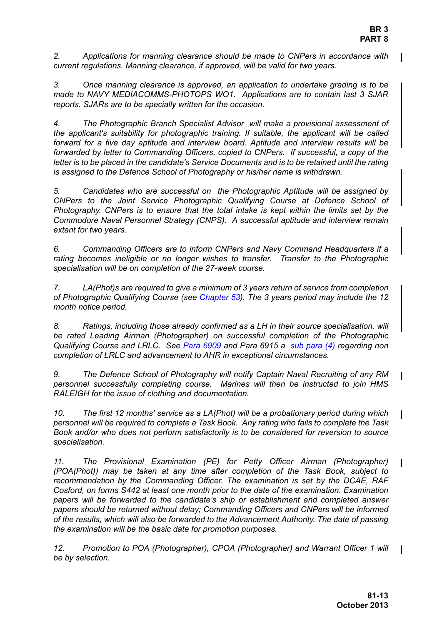*2. Applications for manning clearance should be made to CNPers in accordance with current regulations. Manning clearance, if approved, will be valid for two years.*

*3. Once manning clearance is approved, an application to undertake grading is to be made to NAVY MEDIACOMMS-PHOTOPS WO1. Applications are to contain last 3 SJAR reports. SJARs are to be specially written for the occasion.*

*4. The Photographic Branch Specialist Advisor will make a provisional assessment of the applicant's suitability for photographic training. If suitable, the applicant will be called forward for a five day aptitude and interview board. Aptitude and interview results will be forwarded by letter to Commanding Officers, copied to CNPers. If successful, a copy of the letter is to be placed in the candidate's Service Documents and is to be retained until the rating is assigned to the Defence School of Photography or his/her name is withdrawn.*

*5. Candidates who are successful on the Photographic Aptitude will be assigned by CNPers to the Joint Service Photographic Qualifying Course at Defence School of Photography. CNPers is to ensure that the total intake is kept within the limits set by the Commodore Naval Personnel Strategy (CNPS). A successful aptitude and interview remain extant for two years.*

*6. Commanding Officers are to inform CNPers and Navy Command Headquarters if a rating becomes ineligible or no longer wishes to transfer. Transfer to the Photographic specialisation will be on completion of the 27-week course.*

*7. LA(Phot)s are required to give a minimum of 3 years return of service from completion of Photographic Qualifying Course (see Chapter 53). The 3 years period may include the 12 month notice period.*

*8. Ratings, including those already confirmed as a LH in their source specialisation, will be rated Leading Airman (Photographer) on successful completion of the Photographic Qualifying Course and LRLC. See Para 6909 and Para 6915 a sub para (4) regarding non completion of LRLC and advancement to AHR in exceptional circumstances.*

*9. The Defence School of Photography will notify Captain Naval Recruiting of any RM personnel successfully completing course. Marines will then be instructed to join HMS RALEIGH for the issue of clothing and documentation.*

*10. The first 12 months' service as a LA(Phot) will be a probationary period during which personnel will be required to complete a Task Book. Any rating who fails to complete the Task Book and/or who does not perform satisfactorily is to be considered for reversion to source specialisation.*

*11. The Provisional Examination (PE) for Petty Officer Airman (Photographer) (POA(Phot)) may be taken at any time after completion of the Task Book, subject to recommendation by the Commanding Officer. The examination is set by the DCAE, RAF Cosford, on forms S442 at least one month prior to the date of the examination. Examination papers will be forwarded to the candidate's ship or establishment and completed answer papers should be returned without delay; Commanding Officers and CNPers will be informed of the results, which will also be forwarded to the Advancement Authority. The date of passing the examination will be the basic date for promotion purposes.*

*12. Promotion to POA (Photographer), CPOA (Photographer) and Warrant Officer 1 will be by selection.*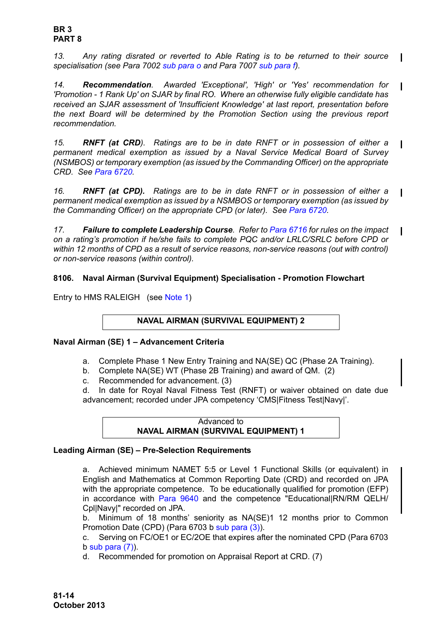*13. Any rating disrated or reverted to Able Rating is to be returned to their source specialisation (see Para 7002 sub para o and Para 7007 sub para f).*

*14. Recommendation. Awarded 'Exceptional', 'High' or 'Yes' recommendation for 'Promotion - 1 Rank Up' on SJAR by final RO. Where an otherwise fully eligible candidate has received an SJAR assessment of 'Insufficient Knowledge' at last report, presentation before the next Board will be determined by the Promotion Section using the previous report recommendation.*

*15. RNFT (at CRD). Ratings are to be in date RNFT or in possession of either a permanent medical exemption as issued by a Naval Service Medical Board of Survey (NSMBOS) or temporary exemption (as issued by the Commanding Officer) on the appropriate CRD. See Para 6720.*

*16. RNFT (at CPD). Ratings are to be in date RNFT or in possession of either a permanent medical exemption as issued by a NSMBOS or temporary exemption (as issued by the Commanding Officer) on the appropriate CPD (or later). See Para 6720.*

*17. Failure to complete Leadership Course. Refer to Para 6716 for rules on the impact on a rating's promotion if he/she fails to complete PQC and/or LRLC/SRLC before CPD or within 12 months of CPD as a result of service reasons, non-service reasons (out with control) or non-service reasons (within control).*

# <span id="page-13-0"></span>**8106. Naval Airman (Survival Equipment) Specialisation - Promotion Flowchart**

Entry to HMS RALEIGH (see [Note 1\)](#page-15-0)

# **NAVAL AIRMAN (SURVIVAL EQUIPMENT) 2**

### **Naval Airman (SE) 1 – Advancement Criteria**

- a. Complete Phase 1 New Entry Training and NA(SE) QC (Phase 2A Training).
- b. Complete NA(SE) WT (Phase 2B Training) and award of QM. (2)
- c. Recommended for advancement. (3)

d. In date for Royal Naval Fitness Test (RNFT) or waiver obtained on date due advancement; recorded under JPA competency 'CMS|Fitness Test|Navy|'.

> Advanced to **NAVAL AIRMAN (SURVIVAL EQUIPMENT) 1**

### **Leading Airman (SE) – Pre-Selection Requirements**

a. Achieved minimum NAMET 5:5 or Level 1 Functional Skills (or equivalent) in English and Mathematics at Common Reporting Date (CRD) and recorded on JPA with the appropriate competence. To be educationally qualified for promotion (EFP) in accordance with [Para 9640](#page-34-0) and the competence "Educational|RN/RM QELH/ Cpl|Navy|" recorded on JPA.

b. Minimum of 18 months' seniority as NA(SE)1 12 months prior to Common Promotion Date (CPD) (Para 6703 b sub para (3)).

c. Serving on FC/OE1 or EC/2OE that expires after the nominated CPD (Para 6703  $b$  sub para  $(7)$ ).

d. Recommended for promotion on Appraisal Report at CRD. (7)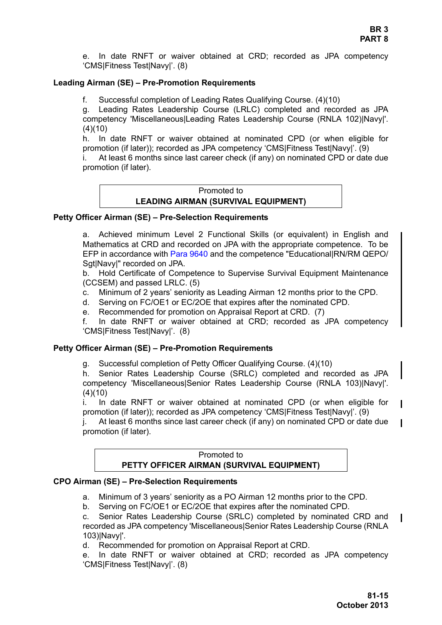e. In date RNFT or waiver obtained at CRD; recorded as JPA competency 'CMS|Fitness Test|Navy|'. (8)

## **Leading Airman (SE) – Pre-Promotion Requirements**

f. Successful completion of Leading Rates Qualifying Course. (4)(10)

g. Leading Rates Leadership Course (LRLC) completed and recorded as JPA competency 'Miscellaneous|Leading Rates Leadership Course (RNLA 102)|Navy|'.  $(4)(10)$ 

h. In date RNFT or waiver obtained at nominated CPD (or when eligible for promotion (if later)); recorded as JPA competency 'CMS|Fitness Test|Navy|'. (9)

i. At least 6 months since last career check (if any) on nominated CPD or date due promotion (if later).

## Promoted to **LEADING AIRMAN (SURVIVAL EQUIPMENT)**

## **Petty Officer Airman (SE) – Pre-Selection Requirements**

a. Achieved minimum Level 2 Functional Skills (or equivalent) in English and Mathematics at CRD and recorded on JPA with the appropriate competence. To be EFP in accordance with [Para 9640](#page-34-0) and the competence "Educational|RN/RM QEPO/ Sgt|Navy|" recorded on JPA.

b. Hold Certificate of Competence to Supervise Survival Equipment Maintenance (CCSEM) and passed LRLC. (5)

- c. Minimum of 2 years' seniority as Leading Airman 12 months prior to the CPD.
- d. Serving on FC/OE1 or EC/2OE that expires after the nominated CPD.
- e. Recommended for promotion on Appraisal Report at CRD. (7)

f. In date RNFT or waiver obtained at CRD; recorded as JPA competency 'CMS|Fitness Test|Navy|'. (8)

### **Petty Officer Airman (SE) – Pre-Promotion Requirements**

g. Successful completion of Petty Officer Qualifying Course. (4)(10)

h. Senior Rates Leadership Course (SRLC) completed and recorded as JPA competency 'Miscellaneous|Senior Rates Leadership Course (RNLA 103)|Navy|'.  $(4)(10)$ 

i. In date RNFT or waiver obtained at nominated CPD (or when eligible for promotion (if later)); recorded as JPA competency 'CMS|Fitness Test|Navy|'. (9)

j. At least 6 months since last career check (if any) on nominated CPD or date due promotion (if later).

# Promoted to **PETTY OFFICER AIRMAN (SURVIVAL EQUIPMENT)**

### **CPO Airman (SE) – Pre-Selection Requirements**

a. Minimum of 3 years' seniority as a PO Airman 12 months prior to the CPD.

b. Serving on FC/OE1 or EC/2OE that expires after the nominated CPD.

c. Senior Rates Leadership Course (SRLC) completed by nominated CRD and recorded as JPA competency 'Miscellaneous|Senior Rates Leadership Course (RNLA 103)|Navy|'.

d. Recommended for promotion on Appraisal Report at CRD.

e. In date RNFT or waiver obtained at CRD; recorded as JPA competency 'CMS|Fitness Test|Navy|'. (8)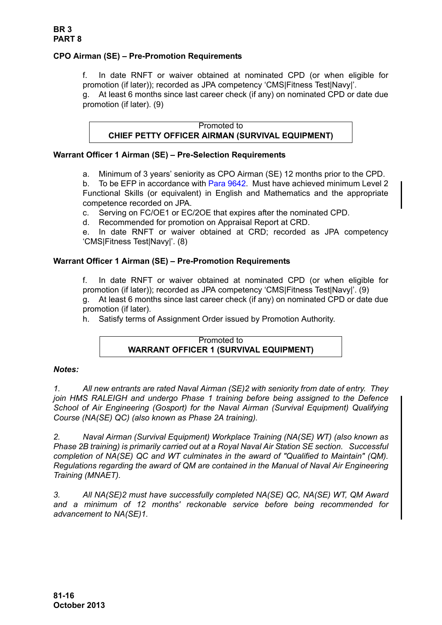# **CPO Airman (SE) – Pre-Promotion Requirements**

f. In date RNFT or waiver obtained at nominated CPD (or when eligible for promotion (if later)); recorded as JPA competency 'CMS|Fitness Test|Navy|'. g. At least 6 months since last career check (if any) on nominated CPD or date due promotion (if later). (9)



# **Warrant Officer 1 Airman (SE) – Pre-Selection Requirements**

a. Minimum of 3 years' seniority as CPO Airman (SE) 12 months prior to the CPD.

b. To be EFP in accordance with [Para 9642.](#page-35-0) Must have achieved minimum Level 2 Functional Skills (or equivalent) in English and Mathematics and the appropriate competence recorded on JPA.

c. Serving on FC/OE1 or EC/2OE that expires after the nominated CPD.

d. Recommended for promotion on Appraisal Report at CRD.

e. In date RNFT or waiver obtained at CRD; recorded as JPA competency 'CMS|Fitness Test|Navy|'. (8)

## **Warrant Officer 1 Airman (SE) – Pre-Promotion Requirements**

f. In date RNFT or waiver obtained at nominated CPD (or when eligible for promotion (if later)); recorded as JPA competency 'CMS|Fitness Test|Navy|'. (9) g. At least 6 months since last career check (if any) on nominated CPD or date due promotion (if later).

h. Satisfy terms of Assignment Order issued by Promotion Authority.

### Promoted to **WARRANT OFFICER 1 (SURVIVAL EQUIPMENT)**

# *Notes:*

<span id="page-15-0"></span>*1. All new entrants are rated Naval Airman (SE)2 with seniority from date of entry. They join HMS RALEIGH and undergo Phase 1 training before being assigned to the Defence School of Air Engineering (Gosport) for the Naval Airman (Survival Equipment) Qualifying Course (NA(SE) QC) (also known as Phase 2A training).*

*2. Naval Airman (Survival Equipment) Workplace Training (NA(SE) WT) (also known as Phase 2B training) is primarily carried out at a Royal Naval Air Station SE section. Successful completion of NA(SE) QC and WT culminates in the award of "Qualified to Maintain" (QM). Regulations regarding the award of QM are contained in the Manual of Naval Air Engineering Training (MNAET).*

*3. All NA(SE)2 must have successfully completed NA(SE) QC, NA(SE) WT, QM Award and a minimum of 12 months' reckonable service before being recommended for advancement to NA(SE)1.*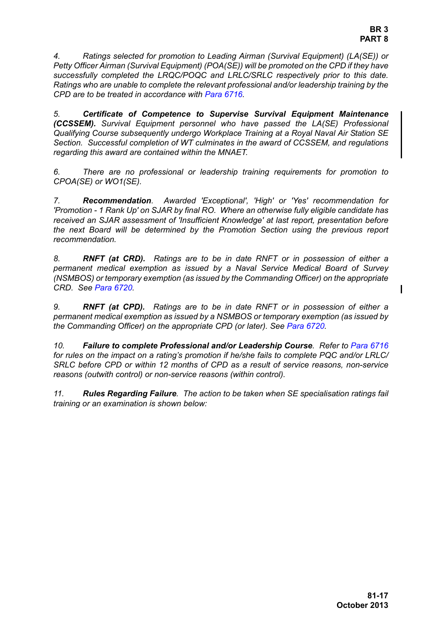*4. Ratings selected for promotion to Leading Airman (Survival Equipment) (LA(SE)) or Petty Officer Airman (Survival Equipment) (POA(SE)) will be promoted on the CPD if they have successfully completed the LRQC/POQC and LRLC/SRLC respectively prior to this date. Ratings who are unable to complete the relevant professional and/or leadership training by the CPD are to be treated in accordance with Para 6716.*

*5. Certificate of Competence to Supervise Survival Equipment Maintenance (CCSSEM). Survival Equipment personnel who have passed the LA(SE) Professional Qualifying Course subsequently undergo Workplace Training at a Royal Naval Air Station SE Section. Successful completion of WT culminates in the award of CCSSEM, and regulations regarding this award are contained within the MNAET.*

*6. There are no professional or leadership training requirements for promotion to CPOA(SE) or WO1(SE).*

*7. Recommendation. Awarded 'Exceptional', 'High' or 'Yes' recommendation for 'Promotion - 1 Rank Up' on SJAR by final RO. Where an otherwise fully eligible candidate has received an SJAR assessment of 'Insufficient Knowledge' at last report, presentation before the next Board will be determined by the Promotion Section using the previous report recommendation.*

*8. RNFT (at CRD). Ratings are to be in date RNFT or in possession of either a permanent medical exemption as issued by a Naval Service Medical Board of Survey (NSMBOS) or temporary exemption (as issued by the Commanding Officer) on the appropriate CRD. See Para 6720.*

*9. RNFT (at CPD). Ratings are to be in date RNFT or in possession of either a permanent medical exemption as issued by a NSMBOS or temporary exemption (as issued by the Commanding Officer) on the appropriate CPD (or later). See Para 6720.* 

*10. Failure to complete Professional and/or Leadership Course. Refer to Para 6716 for rules on the impact on a rating's promotion if he/she fails to complete PQC and/or LRLC/ SRLC before CPD or within 12 months of CPD as a result of service reasons, non-service reasons (outwith control) or non-service reasons (within control).*

*11. Rules Regarding Failure. The action to be taken when SE specialisation ratings fail training or an examination is shown below:*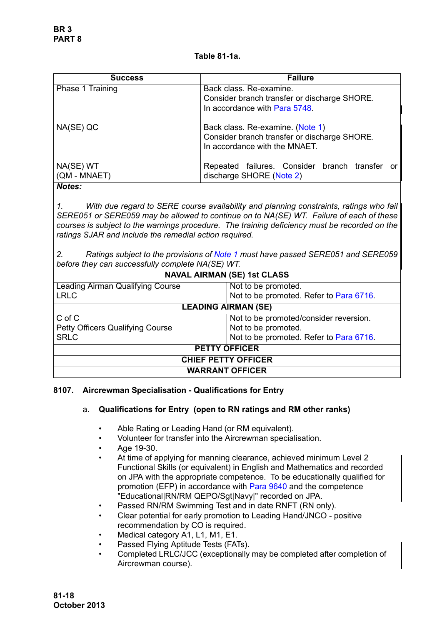**Table 81-1a.** 

| <b>Failure</b>                                                                                                    |
|-------------------------------------------------------------------------------------------------------------------|
| Back class. Re-examine.<br>Consider branch transfer or discharge SHORE.<br>In accordance with Para 5748.          |
| Back class. Re-examine. (Note 1)<br>Consider branch transfer or discharge SHORE.<br>In accordance with the MNAET. |
| Repeated failures. Consider branch transfer<br>discharge SHORE (Note 2)                                           |
|                                                                                                                   |

*Notes:*

<span id="page-17-1"></span>*1. With due regard to SERE course availability and planning constraints, ratings who fail SERE051 or SERE059 may be allowed to continue on to NA(SE) WT. Failure of each of these courses is subject to the warnings procedure. The training deficiency must be recorded on the ratings SJAR and include the remedial action required.*

<span id="page-17-2"></span>*2. Ratings subject to the provisions of [Note 1](#page-17-1) must have passed SERE051 and SERE059 before they can successfully complete NA(SE) WT.*

| <b>NAVAL AIRMAN (SE) 1st CLASS</b>      |                                         |  |
|-----------------------------------------|-----------------------------------------|--|
| <b>Leading Airman Qualifying Course</b> | Not to be promoted.                     |  |
| <b>LRLC</b>                             | Not to be promoted. Refer to Para 6716. |  |
| <b>LEADING AIRMAN (SE)</b>              |                                         |  |
| $C$ of $C$                              | Not to be promoted/consider reversion.  |  |
| Petty Officers Qualifying Course        | Not to be promoted.                     |  |
| <b>SRLC</b>                             | Not to be promoted. Refer to Para 6716. |  |
| <b>PETTY OFFICER</b>                    |                                         |  |
| <b>CHIEF PETTY OFFICER</b>              |                                         |  |
| <b>WARRANT OFFICER</b>                  |                                         |  |

# <span id="page-17-0"></span>**8107. Aircrewman Specialisation - Qualifications for Entry**

# a. **Qualifications for Entry (open to RN ratings and RM other ranks)**

- Able Rating or Leading Hand (or RM equivalent).
- Volunteer for transfer into the Aircrewman specialisation.
- Age 19-30.
- At time of applying for manning clearance, achieved minimum Level 2 Functional Skills (or equivalent) in English and Mathematics and recorded on JPA with the appropriate competence. To be educationally qualified for promotion (EFP) in accordance with [Para 9640](#page-34-0) and the competence "Educational|RN/RM QEPO/Sgt|Navy|" recorded on JPA.
- Passed RN/RM Swimming Test and in date RNFT (RN only).
- Clear potential for early promotion to Leading Hand/JNCO positive recommendation by CO is required.
- Medical category A1, L1, M1, E1.
- Passed Flying Aptitude Tests (FATs).
- Completed LRLC/JCC (exceptionally may be completed after completion of Aircrewman course).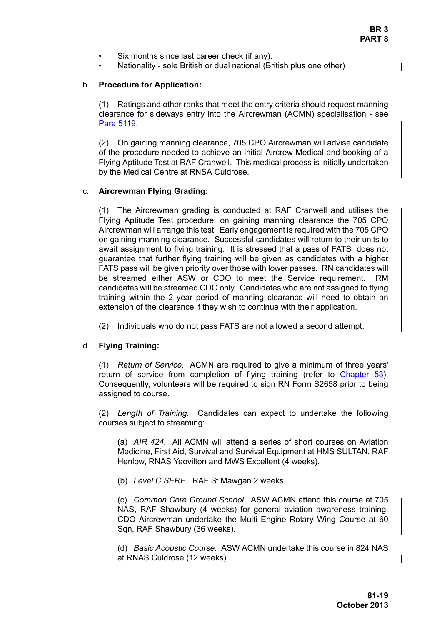- Six months since last career check (if any).
- Nationality sole British or dual national (British plus one other)

### b. **Procedure for Application:**

(1) Ratings and other ranks that meet the entry criteria should request manning clearance for sideways entry into the Aircrewman (ACMN) specialisation - see Para 5119.

(2) On gaining manning clearance, 705 CPO Aircrewman will advise candidate of the procedure needed to achieve an initial Aircrew Medical and booking of a Flying Aptitude Test at RAF Cranwell. This medical process is initially undertaken by the Medical Centre at RNSA Culdrose.

## c. **Aircrewman Flying Grading:**

(1) The Aircrewman grading is conducted at RAF Cranwell and utilises the Flying Aptitude Test procedure, on gaining manning clearance the 705 CPO Aircrewman will arrange this test. Early engagement is required with the 705 CPO on gaining manning clearance. Successful candidates will return to their units to await assignment to flying training. It is stressed that a pass of FATS does not guarantee that further flying training will be given as candidates with a higher FATS pass will be given priority over those with lower passes. RN candidates will be streamed either ASW or CDO to meet the Service requirement. RM candidates will be streamed CDO only. Candidates who are not assigned to flying training within the 2 year period of manning clearance will need to obtain an extension of the clearance if they wish to continue with their application.

(2) Individuals who do not pass FATS are not allowed a second attempt.

### d. **Flying Training:**

(1) *Return of Service.* ACMN are required to give a minimum of three years' return of service from completion of flying training (refer to Chapter 53). Consequently, volunteers will be required to sign RN Form S2658 prior to being assigned to course.

(2) *Length of Training*. Candidates can expect to undertake the following courses subject to streaming:

(a) *AIR 424.* All ACMN will attend a series of short courses on Aviation Medicine, First Aid, Survival and Survival Equipment at HMS SULTAN, RAF Henlow, RNAS Yeovilton and MWS Excellent (4 weeks).

(b) *Level C SERE.* RAF St Mawgan 2 weeks.

(c) *Common Core Ground School.* ASW ACMN attend this course at 705 NAS, RAF Shawbury (4 weeks) for general aviation awareness training. CDO Aircrewman undertake the Multi Engine Rotary Wing Course at 60 Sqn, RAF Shawbury (36 weeks).

(d) *Basic Acoustic Course.* ASW ACMN undertake this course in 824 NAS at RNAS Culdrose (12 weeks).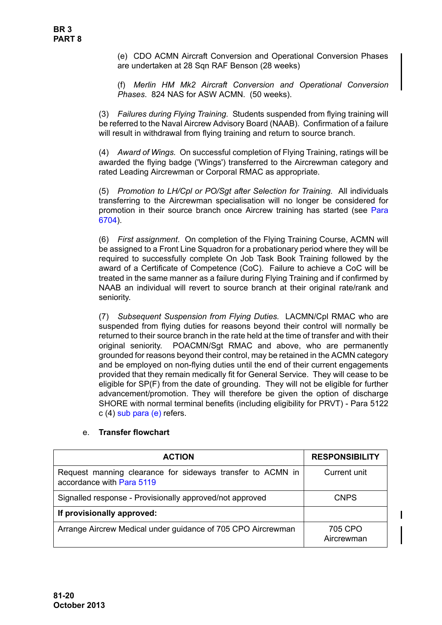(e) CDO ACMN Aircraft Conversion and Operational Conversion Phases are undertaken at 28 Sqn RAF Benson (28 weeks)

(f) *Merlin HM Mk2 Aircraft Conversion and Operational Conversion Phases*. 824 NAS for ASW ACMN. (50 weeks).

(3) *Failures during Flying Training.* Students suspended from flying training will be referred to the Naval Aircrew Advisory Board (NAAB). Confirmation of a failure will result in withdrawal from flying training and return to source branch.

(4) *Award of Wings.* On successful completion of Flying Training, ratings will be awarded the flying badge ('Wings') transferred to the Aircrewman category and rated Leading Aircrewman or Corporal RMAC as appropriate.

(5) *Promotion to LH/Cpl or PO/Sgt after Selection for Training.* All individuals transferring to the Aircrewman specialisation will no longer be considered for promotion in their source branch once Aircrew training has started (see Para 6704).

(6) *First assignment*. On completion of the Flying Training Course, ACMN will be assigned to a Front Line Squadron for a probationary period where they will be required to successfully complete On Job Task Book Training followed by the award of a Certificate of Competence (CoC). Failure to achieve a CoC will be treated in the same manner as a failure during Flying Training and if confirmed by NAAB an individual will revert to source branch at their original rate/rank and seniority.

(7) *Subsequent Suspension from Flying Duties.* LACMN/Cpl RMAC who are suspended from flying duties for reasons beyond their control will normally be returned to their source branch in the rate held at the time of transfer and with their original seniority. POACMN/Sgt RMAC and above, who are permanently grounded for reasons beyond their control, may be retained in the ACMN category and be employed on non-flying duties until the end of their current engagements provided that they remain medically fit for General Service. They will cease to be eligible for SP(F) from the date of grounding. They will not be eligible for further advancement/promotion. They will therefore be given the option of discharge SHORE with normal terminal benefits (including eligibility for PRVT) - Para 5122 c (4) sub para (e) refers.

# e. **Transfer flowchart**

| <b>ACTION</b>                                                                           | <b>RESPONSIBILITY</b> |
|-----------------------------------------------------------------------------------------|-----------------------|
| Request manning clearance for sideways transfer to ACMN in<br>accordance with Para 5119 | Current unit          |
| Signalled response - Provisionally approved/not approved                                | CNPS                  |
| If provisionally approved:                                                              |                       |
| Arrange Aircrew Medical under guidance of 705 CPO Aircrewman                            | 705 CPO<br>Aircrewman |

 $\mathbf l$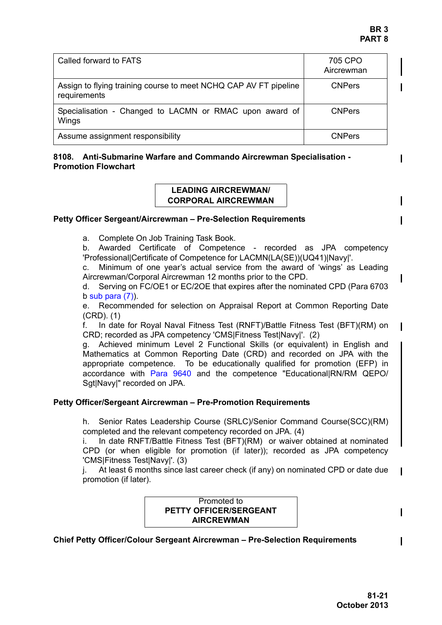| Called forward to FATS                                                           | 705 CPO<br>Aircrewman |
|----------------------------------------------------------------------------------|-----------------------|
| Assign to flying training course to meet NCHQ CAP AV FT pipeline<br>requirements | <b>CNPers</b>         |
| Specialisation - Changed to LACMN or RMAC upon award of<br>Wings                 | <b>CNPers</b>         |
| Assume assignment responsibility                                                 | <b>CNPers</b>         |

<span id="page-20-0"></span>**8108. Anti-Submarine Warfare and Commando Aircrewman Specialisation - Promotion Flowchart**

## **LEADING AIRCREWMAN/ CORPORAL AIRCREWMAN**

## **Petty Officer Sergeant/Aircrewman – Pre-Selection Requirements**

a. Complete On Job Training Task Book.

b. Awarded Certificate of Competence - recorded as JPA competency 'Professional|Certificate of Competence for LACMN(LA(SE))(UQ41)|Navy|'.

c. Minimum of one year's actual service from the award of 'wings' as Leading Aircrewman/Corporal Aircrewman 12 months prior to the CPD.

d. Serving on FC/OE1 or EC/2OE that expires after the nominated CPD (Para 6703  $b$  sub para  $(7)$ ).

e. Recommended for selection on Appraisal Report at Common Reporting Date (CRD). (1)

f. In date for Royal Naval Fitness Test (RNFT)/Battle Fitness Test (BFT)(RM) on CRD; recorded as JPA competency 'CMS|Fitness Test|Navy|'. (2)

g. Achieved minimum Level 2 Functional Skills (or equivalent) in English and Mathematics at Common Reporting Date (CRD) and recorded on JPA with the appropriate competence. To be educationally qualified for promotion (EFP) in accordance with [Para 9640](#page-34-0) and the competence "Educational|RN/RM QEPO/ Sgt|Navy|" recorded on JPA.

# **Petty Officer/Sergeant Aircrewman – Pre-Promotion Requirements**

h. Senior Rates Leadership Course (SRLC)/Senior Command Course(SCC)(RM) completed and the relevant competency recorded on JPA. (4)

i. In date RNFT/Battle Fitness Test (BFT)(RM) or waiver obtained at nominated CPD (or when eligible for promotion (if later)); recorded as JPA competency 'CMS|Fitness Test|Navy|'. (3)

j. At least 6 months since last career check (if any) on nominated CPD or date due promotion (if later).

## Promoted to **PETTY OFFICER/SERGEANT AIRCREWMAN**

**Chief Petty Officer/Colour Sergeant Aircrewman – Pre-Selection Requirements**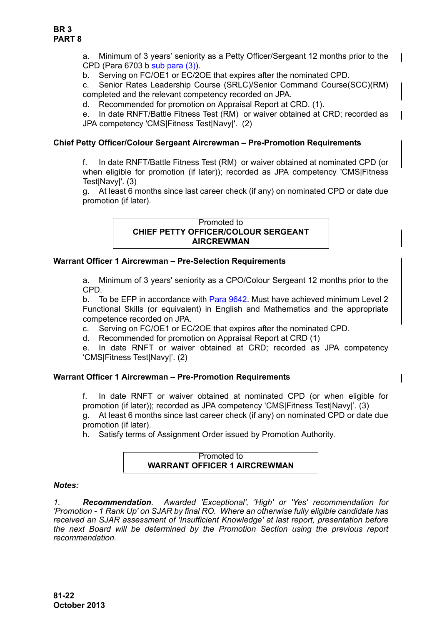a. Minimum of 3 years' seniority as a Petty Officer/Sergeant 12 months prior to the CPD (Para 6703 b sub para (3)).

b. Serving on FC/OE1 or EC/2OE that expires after the nominated CPD.

c. Senior Rates Leadership Course (SRLC)/Senior Command Course(SCC)(RM) completed and the relevant competency recorded on JPA.

d. Recommended for promotion on Appraisal Report at CRD. (1).

e. In date RNFT/Battle Fitness Test (RM) or waiver obtained at CRD; recorded as JPA competency 'CMS|Fitness Test|Navy|'. (2)

# **Chief Petty Officer/Colour Sergeant Aircrewman – Pre-Promotion Requirements**

f. In date RNFT/Battle Fitness Test (RM) or waiver obtained at nominated CPD (or when eligible for promotion (if later)); recorded as JPA competency 'CMS|Fitness Test|Navy|'. (3)

g. At least 6 months since last career check (if any) on nominated CPD or date due promotion (if later).

### Promoted to **CHIEF PETTY OFFICER/COLOUR SERGEANT AIRCREWMAN**

### **Warrant Officer 1 Aircrewman – Pre-Selection Requirements**

a. Minimum of 3 years' seniority as a CPO/Colour Sergeant 12 months prior to the CPD.

b. To be EFP in accordance with [Para 9642.](#page-35-0) Must have achieved minimum Level 2 Functional Skills (or equivalent) in English and Mathematics and the appropriate competence recorded on JPA.

c. Serving on FC/OE1 or EC/2OE that expires after the nominated CPD.

d. Recommended for promotion on Appraisal Report at CRD (1)

e. In date RNFT or waiver obtained at CRD; recorded as JPA competency 'CMS|Fitness Test|Navy|'. (2)

# **Warrant Officer 1 Aircrewman – Pre-Promotion Requirements**

f. In date RNFT or waiver obtained at nominated CPD (or when eligible for promotion (if later)); recorded as JPA competency 'CMS|Fitness Test|Navy|'. (3) g. At least 6 months since last career check (if any) on nominated CPD or date due promotion (if later).

h. Satisfy terms of Assignment Order issued by Promotion Authority.

### Promoted to **WARRANT OFFICER 1 AIRCREWMAN**

### *Notes:*

*1. Recommendation. Awarded 'Exceptional', 'High' or 'Yes' recommendation for 'Promotion - 1 Rank Up' on SJAR by final RO. Where an otherwise fully eligible candidate has received an SJAR assessment of 'Insufficient Knowledge' at last report, presentation before the next Board will be determined by the Promotion Section using the previous report recommendation.*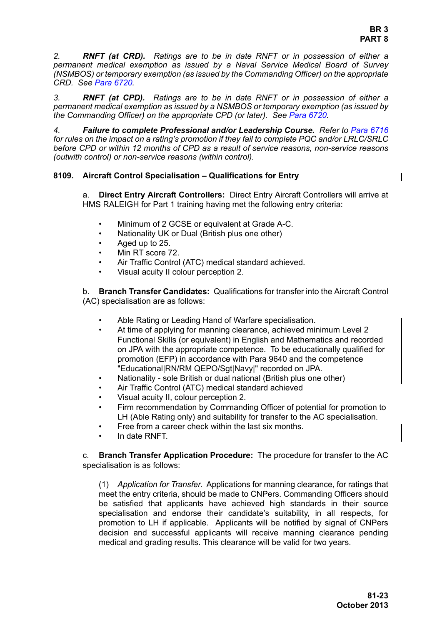*2. RNFT (at CRD). Ratings are to be in date RNFT or in possession of either a permanent medical exemption as issued by a Naval Service Medical Board of Survey (NSMBOS) or temporary exemption (as issued by the Commanding Officer) on the appropriate CRD. See Para 6720.*

*3. RNFT (at CPD). Ratings are to be in date RNFT or in possession of either a permanent medical exemption as issued by a NSMBOS or temporary exemption (as issued by the Commanding Officer) on the appropriate CPD (or later). See Para 6720.*

*4. Failure to complete Professional and/or Leadership Course. Refer to Para 6716 for rules on the impact on a rating's promotion if they fail to complete PQC and/or LRLC/SRLC before CPD or within 12 months of CPD as a result of service reasons, non-service reasons (outwith control) or non-service reasons (within control).*

### <span id="page-22-0"></span>**8109. Aircraft Control Specialisation – Qualifications for Entry**

a. **Direct Entry Aircraft Controllers:** Direct Entry Aircraft Controllers will arrive at HMS RALEIGH for Part 1 training having met the following entry criteria:

- Minimum of 2 GCSE or equivalent at Grade A-C.
- Nationality UK or Dual (British plus one other)
- Aged up to 25.
- Min RT score 72.
- Air Traffic Control (ATC) medical standard achieved.
- Visual acuity II colour perception 2.

b. **Branch Transfer Candidates:** Qualifications for transfer into the Aircraft Control (AC) specialisation are as follows:

- Able Rating or Leading Hand of Warfare specialisation.
- At time of applying for manning clearance, achieved minimum Level 2 Functional Skills (or equivalent) in English and Mathematics and recorded on JPA with the appropriate competence. To be educationally qualified for promotion (EFP) in accordance with Para 9640 and the competence "Educational|RN/RM QEPO/Sgt|Navy|" recorded on JPA.
- Nationality sole British or dual national (British plus one other)
- Air Traffic Control (ATC) medical standard achieved
- Visual acuity II, colour perception 2.
- Firm recommendation by Commanding Officer of potential for promotion to LH (Able Rating only) and suitability for transfer to the AC specialisation.
	- Free from a career check within the last six months.
- In date RNFT.

c. **Branch Transfer Application Procedure:** The procedure for transfer to the AC specialisation is as follows:

(1) *Application for Transfer*. Applications for manning clearance, for ratings that meet the entry criteria, should be made to CNPers. Commanding Officers should be satisfied that applicants have achieved high standards in their source specialisation and endorse their candidate's suitability, in all respects, for promotion to LH if applicable. Applicants will be notified by signal of CNPers decision and successful applicants will receive manning clearance pending medical and grading results. This clearance will be valid for two years.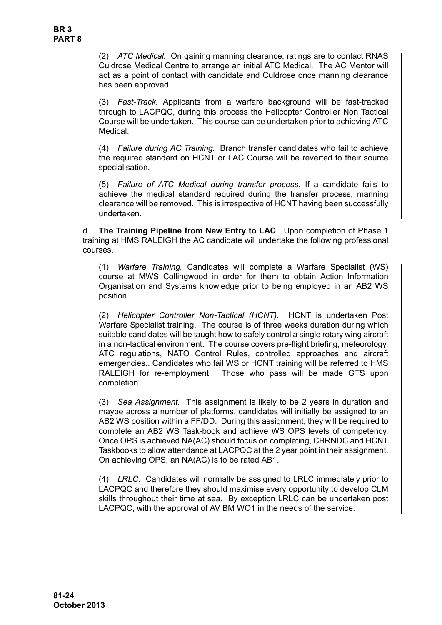(2) *ATC Medical.* On gaining manning clearance, ratings are to contact RNAS Culdrose Medical Centre to arrange an initial ATC Medical. The AC Mentor will act as a point of contact with candidate and Culdrose once manning clearance has been approved.

(3) *Fast-Track.* Applicants from a warfare background will be fast-tracked through to LACPQC, during this process the Helicopter Controller Non Tactical Course will be undertaken. This course can be undertaken prior to achieving ATC Medical.

(4) *Failure during AC Training.* Branch transfer candidates who fail to achieve the required standard on HCNT or LAC Course will be reverted to their source specialisation.

(5) *Failure of ATC Medical during transfer process.* If a candidate fails to achieve the medical standard required during the transfer process, manning clearance will be removed. This is irrespective of HCNT having been successfully undertaken.

d. **The Training Pipeline from New Entry to LAC**. Upon completion of Phase 1 training at HMS RALEIGH the AC candidate will undertake the following professional courses.

(1) *Warfare Training.* Candidates will complete a Warfare Specialist (WS) course at MWS Collingwood in order for them to obtain Action Information Organisation and Systems knowledge prior to being employed in an AB2 WS position.

(2) *Helicopter Controller Non-Tactical (HCNT).* HCNT is undertaken Post Warfare Specialist training. The course is of three weeks duration during which suitable candidates will be taught how to safely control a single rotary wing aircraft in a non-tactical environment. The course covers pre-flight briefing, meteorology, ATC regulations, NATO Control Rules, controlled approaches and aircraft emergencies.. Candidates who fail WS or HCNT training will be referred to HMS RALEIGH for re-employment. Those who pass will be made GTS upon completion.

(3) *Sea Assignment.* This assignment is likely to be 2 years in duration and maybe across a number of platforms, candidates will initially be assigned to an AB2 WS position within a FF/DD. During this assignment, they will be required to complete an AB2 WS Task-book and achieve WS OPS levels of competency. Once OPS is achieved NA(AC) should focus on completing, CBRNDC and HCNT Taskbooks to allow attendance at LACPQC at the 2 year point in their assignment. On achieving OPS, an NA(AC) is to be rated AB1.

(4) *LRLC.* Candidates will normally be assigned to LRLC immediately prior to LACPQC and therefore they should maximise every opportunity to develop CLM skills throughout their time at sea. By exception LRLC can be undertaken post LACPQC, with the approval of AV BM WO1 in the needs of the service.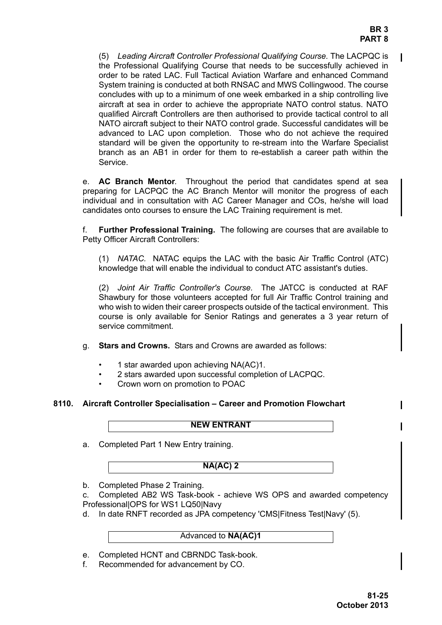(5) *Leading Aircraft Controller Professional Qualifying Course.* The LACPQC is the Professional Qualifying Course that needs to be successfully achieved in order to be rated LAC. Full Tactical Aviation Warfare and enhanced Command System training is conducted at both RNSAC and MWS Collingwood. The course concludes with up to a minimum of one week embarked in a ship controlling live aircraft at sea in order to achieve the appropriate NATO control status. NATO qualified Aircraft Controllers are then authorised to provide tactical control to all NATO aircraft subject to their NATO control grade. Successful candidates will be advanced to LAC upon completion. Those who do not achieve the required standard will be given the opportunity to re-stream into the Warfare Specialist branch as an AB1 in order for them to re-establish a career path within the Service.

e. **AC Branch Mentor**. Throughout the period that candidates spend at sea preparing for LACPQC the AC Branch Mentor will monitor the progress of each individual and in consultation with AC Career Manager and COs, he/she will load candidates onto courses to ensure the LAC Training requirement is met.

f. **Further Professional Training.** The following are courses that are available to Petty Officer Aircraft Controllers:

(1) *NATAC.* NATAC equips the LAC with the basic Air Traffic Control (ATC) knowledge that will enable the individual to conduct ATC assistant's duties.

(2) *Joint Air Traffic Controller's Course.* The JATCC is conducted at RAF Shawbury for those volunteers accepted for full Air Traffic Control training and who wish to widen their career prospects outside of the tactical environment. This course is only available for Senior Ratings and generates a 3 year return of service commitment.

- g. **Stars and Crowns.** Stars and Crowns are awarded as follows:
	- 1 star awarded upon achieving NA(AC)1.
	- 2 stars awarded upon successful completion of LACPQC.
	- Crown worn on promotion to POAC

# <span id="page-24-0"></span>**8110. Aircraft Controller Specialisation – Career and Promotion Flowchart**

**NEW ENTRANT**

a. Completed Part 1 New Entry training.

**NA(AC) 2**

b. Completed Phase 2 Training.

c. Completed AB2 WS Task-book - achieve WS OPS and awarded competency Professional|OPS for WS1 LQ50|Navy

d. In date RNFT recorded as JPA competency 'CMS|Fitness Test|Navy' (5).

#### Advanced to **NA(AC)1**

- e. Completed HCNT and CBRNDC Task-book.
- f. Recommended for advancement by CO.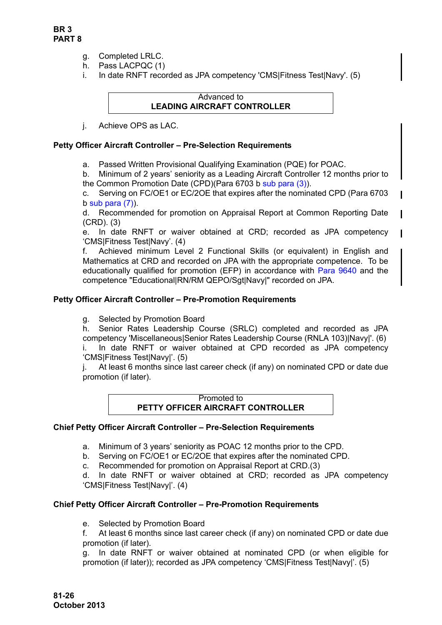- g. Completed LRLC.
- h. Pass LACPQC (1)
- i. In date RNFT recorded as JPA competency 'CMS|Fitness Test|Navy'. (5)

# Advanced to **LEADING AIRCRAFT CONTROLLER**

j. Achieve OPS as LAC.

# **Petty Officer Aircraft Controller – Pre-Selection Requirements**

a. Passed Written Provisional Qualifying Examination (PQE) for POAC.

b. Minimum of 2 years' seniority as a Leading Aircraft Controller 12 months prior to the Common Promotion Date (CPD)(Para 6703 b sub para (3)).

c. Serving on FC/OE1 or EC/2OE that expires after the nominated CPD (Para 6703  $b$  sub para  $(7)$ ).

d. Recommended for promotion on Appraisal Report at Common Reporting Date (CRD). (3)

e. In date RNFT or waiver obtained at CRD; recorded as JPA competency 'CMS|Fitness Test|Navy'. (4)

f. Achieved minimum Level 2 Functional Skills (or equivalent) in English and Mathematics at CRD and recorded on JPA with the appropriate competence. To be educationally qualified for promotion (EFP) in accordance with [Para 9640](#page-34-0) and the competence "Educational|RN/RM QEPO/Sgt|Navy|" recorded on JPA.

# **Petty Officer Aircraft Controller – Pre-Promotion Requirements**

g. Selected by Promotion Board

h. Senior Rates Leadership Course (SRLC) completed and recorded as JPA competency 'Miscellaneous|Senior Rates Leadership Course (RNLA 103)|Navy|'. (6) i. In date RNFT or waiver obtained at CPD recorded as JPA competency

'CMS|Fitness Test|Navy|'. (5) j. At least 6 months since last career check (if any) on nominated CPD or date due promotion (if later).

Promoted to **PETTY OFFICER AIRCRAFT CONTROLLER**

# **Chief Petty Officer Aircraft Controller – Pre-Selection Requirements**

- a. Minimum of 3 years' seniority as POAC 12 months prior to the CPD.
- b. Serving on FC/OE1 or EC/2OE that expires after the nominated CPD.
- c. Recommended for promotion on Appraisal Report at CRD.(3)

d. In date RNFT or waiver obtained at CRD; recorded as JPA competency 'CMS|Fitness Test|Navy|'. (4)

# **Chief Petty Officer Aircraft Controller – Pre-Promotion Requirements**

e. Selected by Promotion Board

f. At least 6 months since last career check (if any) on nominated CPD or date due promotion (if later).

g. In date RNFT or waiver obtained at nominated CPD (or when eligible for promotion (if later)); recorded as JPA competency 'CMS|Fitness Test|Navy|'. (5)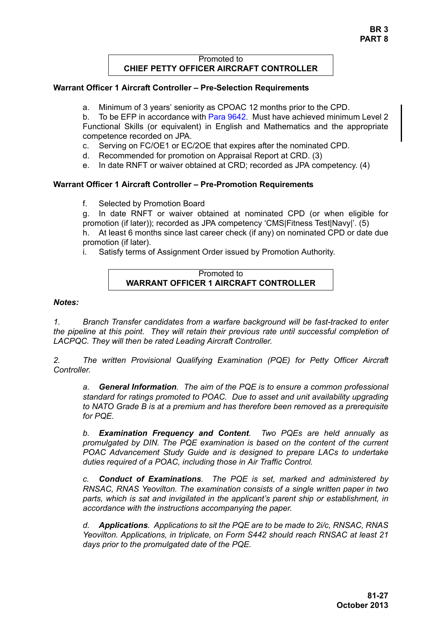### Promoted to **CHIEF PETTY OFFICER AIRCRAFT CONTROLLER**

### **Warrant Officer 1 Aircraft Controller – Pre-Selection Requirements**

a. Minimum of 3 years' seniority as CPOAC 12 months prior to the CPD.

b. To be EFP in accordance with [Para 9642.](#page-35-0) Must have achieved minimum Level 2 Functional Skills (or equivalent) in English and Mathematics and the appropriate competence recorded on JPA.

- c. Serving on FC/OE1 or EC/2OE that expires after the nominated CPD.
- d. Recommended for promotion on Appraisal Report at CRD. (3)
- e. In date RNFT or waiver obtained at CRD; recorded as JPA competency. (4)

## **Warrant Officer 1 Aircraft Controller – Pre-Promotion Requirements**

f. Selected by Promotion Board

g. In date RNFT or waiver obtained at nominated CPD (or when eligible for promotion (if later)); recorded as JPA competency 'CMS|Fitness Test|Navy|'. (5) h. At least 6 months since last career check (if any) on nominated CPD or date due promotion (if later).

i. Satisfy terms of Assignment Order issued by Promotion Authority.

## Promoted to **WARRANT OFFICER 1 AIRCRAFT CONTROLLER**

### *Notes:*

*1. Branch Transfer candidates from a warfare background will be fast-tracked to enter the pipeline at this point. They will retain their previous rate until successful completion of LACPQC. They will then be rated Leading Aircraft Controller.*

*2. The written Provisional Qualifying Examination (PQE) for Petty Officer Aircraft Controller.*

*a. General Information. The aim of the PQE is to ensure a common professional standard for ratings promoted to POAC. Due to asset and unit availability upgrading to NATO Grade B is at a premium and has therefore been removed as a prerequisite for PQE.*

*b. Examination Frequency and Content. Two PQEs are held annually as promulgated by DIN. The PQE examination is based on the content of the current POAC Advancement Study Guide and is designed to prepare LACs to undertake duties required of a POAC, including those in Air Traffic Control.*

*c. Conduct of Examinations. The PQE is set, marked and administered by RNSAC, RNAS Yeovilton. The examination consists of a single written paper in two parts, which is sat and invigilated in the applicant's parent ship or establishment, in accordance with the instructions accompanying the paper.*

*d. Applications. Applications to sit the PQE are to be made to 2i/c, RNSAC, RNAS Yeovilton. Applications, in triplicate, on Form S442 should reach RNSAC at least 21 days prior to the promulgated date of the PQE.*